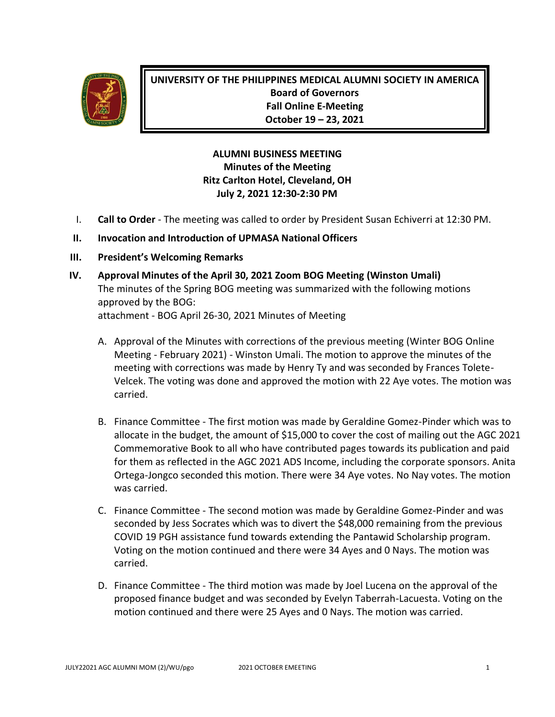

**UNIVERSITY OF THE PHILIPPINES MEDICAL ALUMNI SOCIETY IN AMERICA Board of Governors Fall Online E-Meeting October 19 – 23, 2021**

## **ALUMNI BUSINESS MEETING Minutes of the Meeting Ritz Carlton Hotel, Cleveland, OH July 2, 2021 12:30-2:30 PM**

I. **Call to Order** - The meeting was called to order by President Susan Echiverri at 12:30 PM.

#### **II. Invocation and Introduction of UPMASA National Officers**

- **III. President's Welcoming Remarks**
- **IV. Approval Minutes of the April 30, 2021 Zoom BOG Meeting (Winston Umali)** The minutes of the Spring BOG meeting was summarized with the following motions approved by the BOG: attachment - BOG April 26-30, 2021 Minutes of Meeting
	- A. Approval of the Minutes with corrections of the previous meeting (Winter BOG Online Meeting - February 2021) - Winston Umali. The motion to approve the minutes of the meeting with corrections was made by Henry Ty and was seconded by Frances Tolete-Velcek. The voting was done and approved the motion with 22 Aye votes. The motion was carried.
	- B. Finance Committee The first motion was made by Geraldine Gomez-Pinder which was to allocate in the budget, the amount of \$15,000 to cover the cost of mailing out the AGC 2021 Commemorative Book to all who have contributed pages towards its publication and paid for them as reflected in the AGC 2021 ADS Income, including the corporate sponsors. Anita Ortega-Jongco seconded this motion. There were 34 Aye votes. No Nay votes. The motion was carried.
	- C. Finance Committee The second motion was made by Geraldine Gomez-Pinder and was seconded by Jess Socrates which was to divert the \$48,000 remaining from the previous COVID 19 PGH assistance fund towards extending the Pantawid Scholarship program. Voting on the motion continued and there were 34 Ayes and 0 Nays. The motion was carried.
	- D. Finance Committee The third motion was made by Joel Lucena on the approval of the proposed finance budget and was seconded by Evelyn Taberrah-Lacuesta. Voting on the motion continued and there were 25 Ayes and 0 Nays. The motion was carried.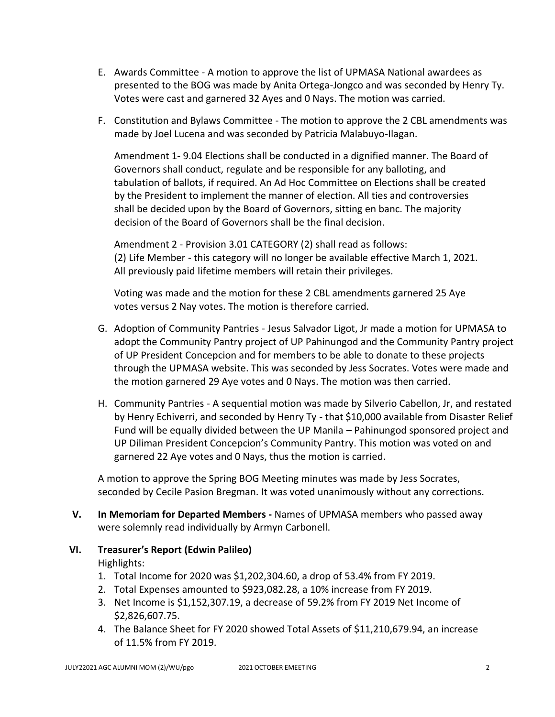- E. Awards Committee A motion to approve the list of UPMASA National awardees as presented to the BOG was made by Anita Ortega-Jongco and was seconded by Henry Ty. Votes were cast and garnered 32 Ayes and 0 Nays. The motion was carried.
- F. Constitution and Bylaws Committee The motion to approve the 2 CBL amendments was made by Joel Lucena and was seconded by Patricia Malabuyo-Ilagan.

Amendment 1- 9.04 Elections shall be conducted in a dignified manner. The Board of Governors shall conduct, regulate and be responsible for any balloting, and tabulation of ballots, if required. An Ad Hoc Committee on Elections shall be created by the President to implement the manner of election. All ties and controversies shall be decided upon by the Board of Governors, sitting en banc. The majority decision of the Board of Governors shall be the final decision.

Amendment 2 - Provision 3.01 CATEGORY (2) shall read as follows: (2) Life Member - this category will no longer be available effective March 1, 2021. All previously paid lifetime members will retain their privileges.

Voting was made and the motion for these 2 CBL amendments garnered 25 Aye votes versus 2 Nay votes. The motion is therefore carried.

- G. Adoption of Community Pantries Jesus Salvador Ligot, Jr made a motion for UPMASA to adopt the Community Pantry project of UP Pahinungod and the Community Pantry project of UP President Concepcion and for members to be able to donate to these projects through the UPMASA website. This was seconded by Jess Socrates. Votes were made and the motion garnered 29 Aye votes and 0 Nays. The motion was then carried.
- H. Community Pantries A sequential motion was made by Silverio Cabellon, Jr, and restated by Henry Echiverri, and seconded by Henry Ty - that \$10,000 available from Disaster Relief Fund will be equally divided between the UP Manila – Pahinungod sponsored project and UP Diliman President Concepcion's Community Pantry. This motion was voted on and garnered 22 Aye votes and 0 Nays, thus the motion is carried.

A motion to approve the Spring BOG Meeting minutes was made by Jess Socrates, seconded by Cecile Pasion Bregman. It was voted unanimously without any corrections.

- **V. In Memoriam for Departed Members -** Names of UPMASA members who passed away were solemnly read individually by Armyn Carbonell.
- **VI. Treasurer's Report (Edwin Palileo)** Highlights:
	- 1. Total Income for 2020 was \$1,202,304.60, a drop of 53.4% from FY 2019.
	- 2. Total Expenses amounted to \$923,082.28, a 10% increase from FY 2019.
	- 3. Net Income is \$1,152,307.19, a decrease of 59.2% from FY 2019 Net Income of \$2,826,607.75.
	- 4. The Balance Sheet for FY 2020 showed Total Assets of \$11,210,679.94, an increase of 11.5% from FY 2019.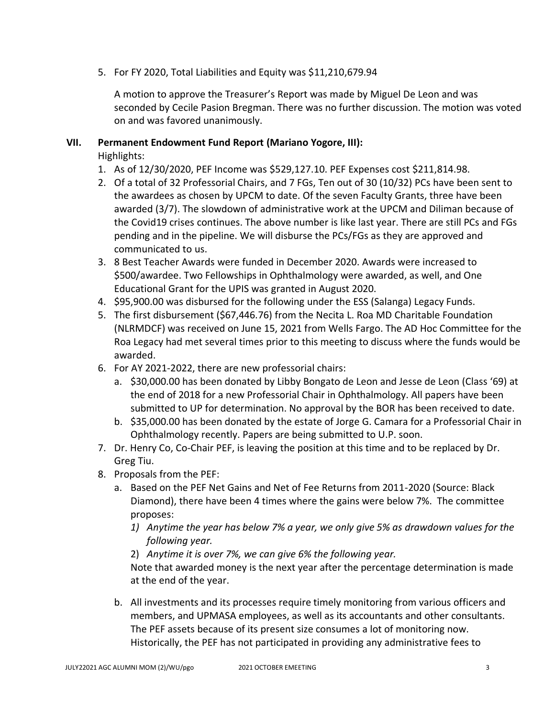5. For FY 2020, Total Liabilities and Equity was \$11,210,679.94

A motion to approve the Treasurer's Report was made by Miguel De Leon and was seconded by Cecile Pasion Bregman. There was no further discussion. The motion was voted on and was favored unanimously.

#### **VII. Permanent Endowment Fund Report (Mariano Yogore, III):**

Highlights:

- 1. As of 12/30/2020, PEF Income was \$529,127.10. PEF Expenses cost \$211,814.98.
- 2. Of a total of 32 Professorial Chairs, and 7 FGs, Ten out of 30 (10/32) PCs have been sent to the awardees as chosen by UPCM to date. Of the seven Faculty Grants, three have been awarded (3/7). The slowdown of administrative work at the UPCM and Diliman because of the Covid19 crises continues. The above number is like last year. There are still PCs and FGs pending and in the pipeline. We will disburse the PCs/FGs as they are approved and communicated to us.
- 3. 8 Best Teacher Awards were funded in December 2020. Awards were increased to \$500/awardee. Two Fellowships in Ophthalmology were awarded, as well, and One Educational Grant for the UPIS was granted in August 2020.
- 4. \$95,900.00 was disbursed for the following under the ESS (Salanga) Legacy Funds.
- 5. The first disbursement (\$67,446.76) from the Necita L. Roa MD Charitable Foundation (NLRMDCF) was received on June 15, 2021 from Wells Fargo. The AD Hoc Committee for the Roa Legacy had met several times prior to this meeting to discuss where the funds would be awarded.
- 6. For AY 2021-2022, there are new professorial chairs:
	- a. \$30,000.00 has been donated by Libby Bongato de Leon and Jesse de Leon (Class '69) at the end of 2018 for a new Professorial Chair in Ophthalmology. All papers have been submitted to UP for determination. No approval by the BOR has been received to date.
	- b. \$35,000.00 has been donated by the estate of Jorge G. Camara for a Professorial Chair in Ophthalmology recently. Papers are being submitted to U.P. soon.
- 7. Dr. Henry Co, Co-Chair PEF, is leaving the position at this time and to be replaced by Dr. Greg Tiu.
- 8. Proposals from the PEF:
	- a. Based on the PEF Net Gains and Net of Fee Returns from 2011-2020 (Source: Black Diamond), there have been 4 times where the gains were below 7%. The committee proposes:
		- *1) Anytime the year has below 7% a year, we only give 5% as drawdown values for the following year.*
		- 2) *Anytime it is over 7%, we can give 6% the following year.*

Note that awarded money is the next year after the percentage determination is made at the end of the year.

b. All investments and its processes require timely monitoring from various officers and members, and UPMASA employees, as well as its accountants and other consultants. The PEF assets because of its present size consumes a lot of monitoring now. Historically, the PEF has not participated in providing any administrative fees to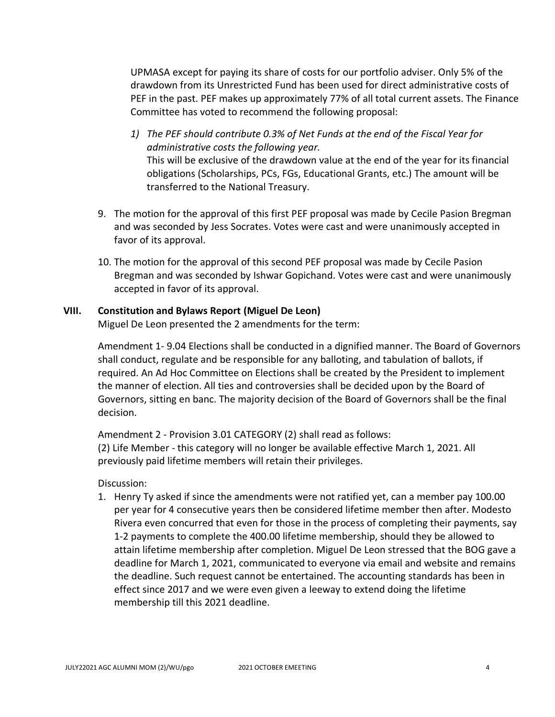UPMASA except for paying its share of costs for our portfolio adviser. Only 5% of the drawdown from its Unrestricted Fund has been used for direct administrative costs of PEF in the past. PEF makes up approximately 77% of all total current assets. The Finance Committee has voted to recommend the following proposal:

- *1) The PEF should contribute 0.3% of Net Funds at the end of the Fiscal Year for administrative costs the following year.* This will be exclusive of the drawdown value at the end of the year for its financial obligations (Scholarships, PCs, FGs, Educational Grants, etc.) The amount will be transferred to the National Treasury.
- 9. The motion for the approval of this first PEF proposal was made by Cecile Pasion Bregman and was seconded by Jess Socrates. Votes were cast and were unanimously accepted in favor of its approval.
- 10. The motion for the approval of this second PEF proposal was made by Cecile Pasion Bregman and was seconded by Ishwar Gopichand. Votes were cast and were unanimously accepted in favor of its approval.

#### **VIII. Constitution and Bylaws Report (Miguel De Leon)**

Miguel De Leon presented the 2 amendments for the term:

Amendment 1- 9.04 Elections shall be conducted in a dignified manner. The Board of Governors shall conduct, regulate and be responsible for any balloting, and tabulation of ballots, if required. An Ad Hoc Committee on Elections shall be created by the President to implement the manner of election. All ties and controversies shall be decided upon by the Board of Governors, sitting en banc. The majority decision of the Board of Governors shall be the final decision.

Amendment 2 - Provision 3.01 CATEGORY (2) shall read as follows: (2) Life Member - this category will no longer be available effective March 1, 2021. All previously paid lifetime members will retain their privileges.

Discussion:

1. Henry Ty asked if since the amendments were not ratified yet, can a member pay 100.00 per year for 4 consecutive years then be considered lifetime member then after. Modesto Rivera even concurred that even for those in the process of completing their payments, say 1-2 payments to complete the 400.00 lifetime membership, should they be allowed to attain lifetime membership after completion. Miguel De Leon stressed that the BOG gave a deadline for March 1, 2021, communicated to everyone via email and website and remains the deadline. Such request cannot be entertained. The accounting standards has been in effect since 2017 and we were even given a leeway to extend doing the lifetime membership till this 2021 deadline.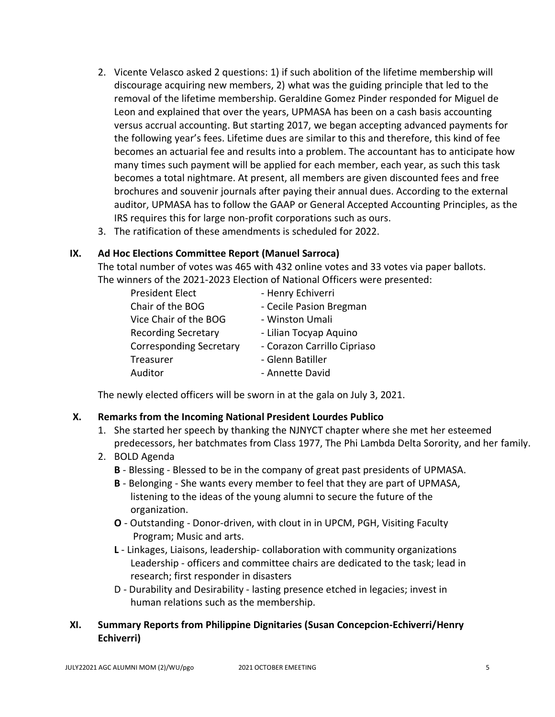- 2. Vicente Velasco asked 2 questions: 1) if such abolition of the lifetime membership will discourage acquiring new members, 2) what was the guiding principle that led to the removal of the lifetime membership. Geraldine Gomez Pinder responded for Miguel de Leon and explained that over the years, UPMASA has been on a cash basis accounting versus accrual accounting. But starting 2017, we began accepting advanced payments for the following year's fees. Lifetime dues are similar to this and therefore, this kind of fee becomes an actuarial fee and results into a problem. The accountant has to anticipate how many times such payment will be applied for each member, each year, as such this task becomes a total nightmare. At present, all members are given discounted fees and free brochures and souvenir journals after paying their annual dues. According to the external auditor, UPMASA has to follow the GAAP or General Accepted Accounting Principles, as the IRS requires this for large non-profit corporations such as ours.
- 3. The ratification of these amendments is scheduled for 2022.

#### **IX. Ad Hoc Elections Committee Report (Manuel Sarroca)**

The total number of votes was 465 with 432 online votes and 33 votes via paper ballots. The winners of the 2021-2023 Election of National Officers were presented:

| <b>President Elect</b>         | - Henry Echiverri           |
|--------------------------------|-----------------------------|
| Chair of the BOG               | - Cecile Pasion Bregman     |
| Vice Chair of the BOG          | - Winston Umali             |
| <b>Recording Secretary</b>     | - Lilian Tocyap Aquino      |
| <b>Corresponding Secretary</b> | - Corazon Carrillo Cipriaso |
| Treasurer                      | - Glenn Batiller            |
| Auditor                        | - Annette David             |

The newly elected officers will be sworn in at the gala on July 3, 2021.

### **X. Remarks from the Incoming National President Lourdes Publico**

- 1. She started her speech by thanking the NJNYCT chapter where she met her esteemed predecessors, her batchmates from Class 1977, The Phi Lambda Delta Sorority, and her family.
- 2. BOLD Agenda
	- **B** Blessing Blessed to be in the company of great past presidents of UPMASA.
	- **B** Belonging She wants every member to feel that they are part of UPMASA, listening to the ideas of the young alumni to secure the future of the organization.
	- **O** Outstanding Donor-driven, with clout in in UPCM, PGH, Visiting Faculty Program; Music and arts.
	- **L** Linkages, Liaisons, leadership- collaboration with community organizations Leadership - officers and committee chairs are dedicated to the task; lead in research; first responder in disasters
	- D Durability and Desirability lasting presence etched in legacies; invest in human relations such as the membership.

### **XI. Summary Reports from Philippine Dignitaries (Susan Concepcion-Echiverri/Henry Echiverri)**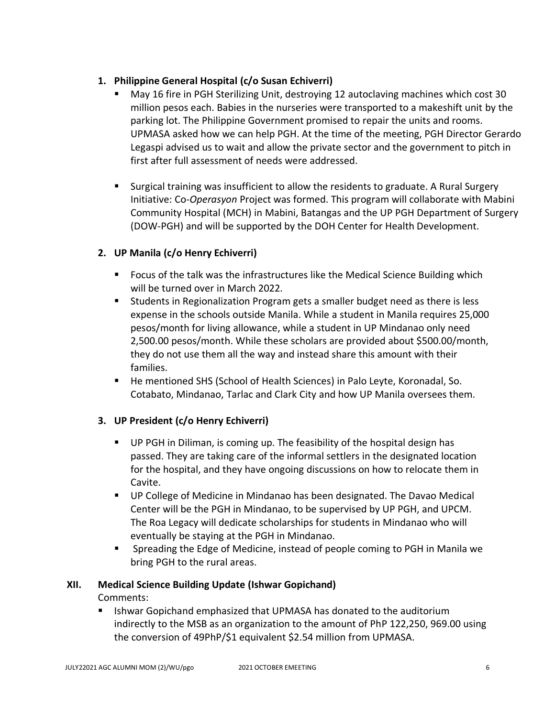## **1. Philippine General Hospital (c/o Susan Echiverri)**

- May 16 fire in PGH Sterilizing Unit, destroying 12 autoclaving machines which cost 30 million pesos each. Babies in the nurseries were transported to a makeshift unit by the parking lot. The Philippine Government promised to repair the units and rooms. UPMASA asked how we can help PGH. At the time of the meeting, PGH Director Gerardo Legaspi advised us to wait and allow the private sector and the government to pitch in first after full assessment of needs were addressed.
- Surgical training was insufficient to allow the residents to graduate. A Rural Surgery Initiative: Co-*Operasyon* Project was formed. This program will collaborate with Mabini Community Hospital (MCH) in Mabini, Batangas and the UP PGH Department of Surgery (DOW-PGH) and will be supported by the DOH Center for Health Development.

# **2. UP Manila (c/o Henry Echiverri)**

- Focus of the talk was the infrastructures like the Medical Science Building which will be turned over in March 2022.
- Students in Regionalization Program gets a smaller budget need as there is less expense in the schools outside Manila. While a student in Manila requires 25,000 pesos/month for living allowance, while a student in UP Mindanao only need 2,500.00 pesos/month. While these scholars are provided about \$500.00/month, they do not use them all the way and instead share this amount with their families.
- He mentioned SHS (School of Health Sciences) in Palo Leyte, Koronadal, So. Cotabato, Mindanao, Tarlac and Clark City and how UP Manila oversees them.

### **3. UP President (c/o Henry Echiverri)**

- UP PGH in Diliman, is coming up. The feasibility of the hospital design has passed. They are taking care of the informal settlers in the designated location for the hospital, and they have ongoing discussions on how to relocate them in Cavite.
- UP College of Medicine in Mindanao has been designated. The Davao Medical Center will be the PGH in Mindanao, to be supervised by UP PGH, and UPCM. The Roa Legacy will dedicate scholarships for students in Mindanao who will eventually be staying at the PGH in Mindanao.
- Spreading the Edge of Medicine, instead of people coming to PGH in Manila we bring PGH to the rural areas.

### **XII. Medical Science Building Update (Ishwar Gopichand)**

Comments:

Ishwar Gopichand emphasized that UPMASA has donated to the auditorium indirectly to the MSB as an organization to the amount of PhP 122,250, 969.00 using the conversion of 49PhP/\$1 equivalent \$2.54 million from UPMASA.